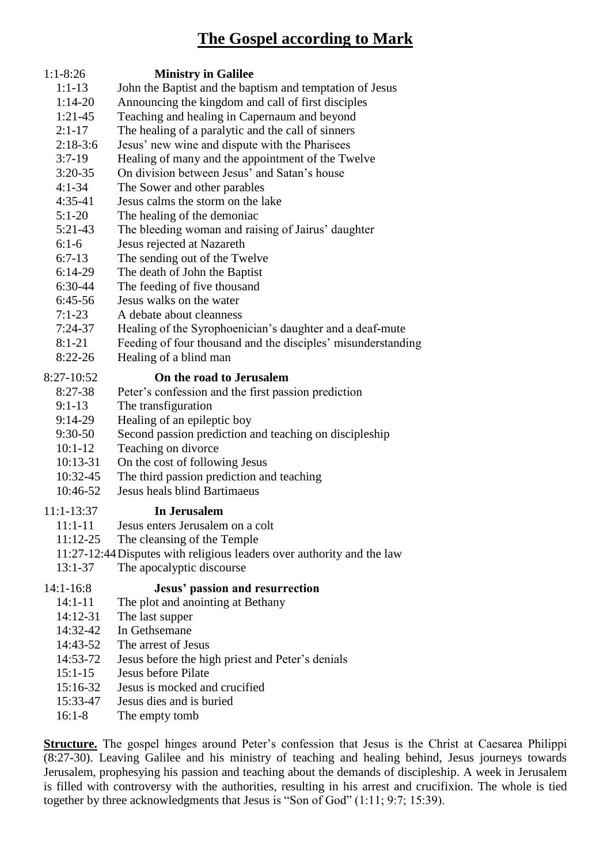## **The Gospel according to Mark**



- 14:32-42 In Gethsemane
- 14:43-52 The arrest of Jesus
- 14:53-72 Jesus before the high priest and Peter's denials
- 15:1-15 Jesus before Pilate
- 15:16-32 Jesus is mocked and crucified
- 15:33-47 Jesus dies and is buried
- 16:1-8 The empty tomb

**Structure.** The gospel hinges around Peter's confession that Jesus is the Christ at Caesarea Philippi (8:27-30). Leaving Galilee and his ministry of teaching and healing behind, Jesus journeys towards Jerusalem, prophesying his passion and teaching about the demands of discipleship. A week in Jerusalem is filled with controversy with the authorities, resulting in his arrest and crucifixion. The whole is tied together by three acknowledgments that Jesus is "Son of God" (1:11; 9:7; 15:39).